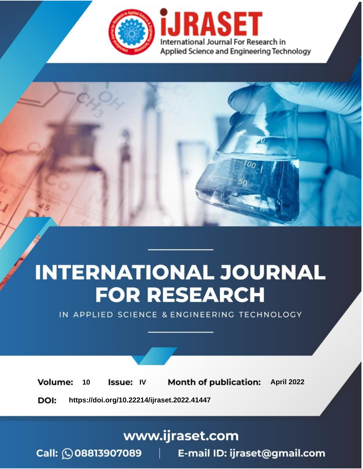

# **INTERNATIONAL JOURNAL FOR RESEARCH**

IN APPLIED SCIENCE & ENGINEERING TECHNOLOGY

Volume: 10 **Issue: IV Month of publication:** April 2022

**https://doi.org/10.22214/ijraset.2022.41447**DOI:

www.ijraset.com

Call: 008813907089 | E-mail ID: ijraset@gmail.com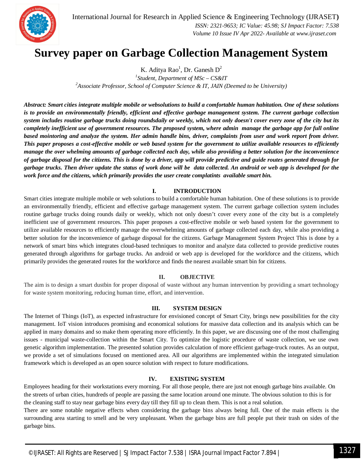

International Journal for Research in Applied Science & Engineering Technology (IJRASET**)**  *ISSN: 2321-9653; IC Value: 45.98; SJ Impact Factor: 7.538 Volume 10 Issue IV Apr 2022- Available at www.ijraset.com*

### **Survey paper on Garbage Collection Management System**

K. Aditya Rao<sup>1</sup>, Dr. Ganesh D<sup>2</sup>

*1 Student, Department of MSc – CS&IT <sup>2</sup>Associate Professor, School of Computer Science & IT, JAIN (Deemed to be University)*

*Abstract: Smart cities integrate multiple mobile or websolutions to build a comfortable human habitation. One of these solutions is to provide an environmentally friendly, efficient and effective garbage management system. The current garbage collection system includes routine garbage trucks doing roundsdaily or weekly, which not only doesn't cover every zone of the city but its completely inefficient use of government resources. The proposed system, where admin manage the garbage app for full online based mointoring and analyze the system. Her admin handle bins, driver, complaints from user and work report from driver. This paper proposes a cost-effective mobile or web based system for the government to utilize available resources to efficiently manage the over whelming amounts of garbage collected each day, while also providing a better solution for the inconvenience of garbage disposal for the citizens. This is done by a driver, app will provide predictive and guide routes generated through for garbage trucks. Then driver update the status of work done will be data collected. An android or web app is developed for the work force and the citizens, which primarily provides the user create complatints available smart bin.*

#### **I. INTRODUCTION**

Smart cities integrate multiple mobile or web solutions to build a comfortable human habitation. One of these solutions is to provide an environmentally friendly, efficient and effective garbage management system. The current garbage collection system includes routine garbage trucks doing rounds daily or weekly, which not only doesn't cover every zone of the city but is a completely inefficient use of government resources. This paper proposes a cost-effective mobile or web based system for the government to utilize available resources to efficiently manage the overwhelming amounts of garbage collected each day, while also providing a better solution for the inconvenience of garbage disposal for the citizens. Garbage Management System Project This is done by a network of smart bins which integrates cloud-based techniques to monitor and analyze data collected to provide predictive routes generated through algorithms for garbage trucks. An android or web app is developed for the workforce and the citizens, which primarily provides the generated routes for the workforce and finds the nearest available smart bin for citizens.

#### **II. OBJECTIVE**

The aim is to design a smart dustbin for proper disposal of waste without any human intervention by providing a smart technology for waste system monitoring, reducing human time, effort, and intervention.

#### **III. SYSTEM DESIGN**

The Internet of Things (IoT), as expected infrastructure for envisioned concept of Smart City, brings new possibilities for the city management. IoT vision introduces promising and economical solutions for massive data collection and its analysis which can be applied in many domains and so make them operating more efficiently. In this paper, we are discussing one of the most challenging issues - municipal waste-collection within the Smart City. To optimize the logistic procedure of waste collection, we use own genetic algorithm implementation. The presented solution provides calculation of more efficient garbage-truck routes. As an output, we provide a set of simulations focused on mentioned area. All our algorithms are implemented within the integrated simulation framework which is developed as an open source solution with respect to future modifications.

#### **IV. EXISTING SYSTEM**

Employees heading for their workstations every morning. For all those people, there are just not enough garbage bins available. On the streets of urban cities, hundreds of people are passing the same location around one minute. The obvious solution to this is for the cleaning staff to stay near garbage bins every day till they fill up to clean them. This is not a real solution.

There are some notable negative effects when considering the garbage bins always being full. One of the main effects is the surrounding area starting to smell and be very unpleasant. When the garbage bins are full people put their trash on sides of the garbage bins.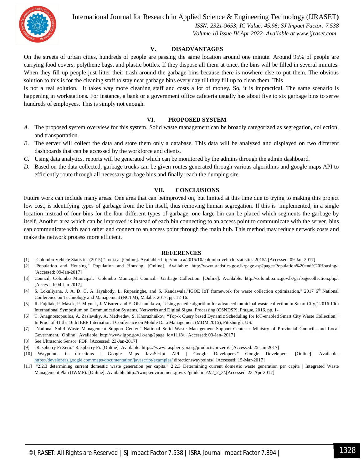International Journal for Research in Applied Science & Engineering Technology (IJRASET**)**



 *ISSN: 2321-9653; IC Value: 45.98; SJ Impact Factor: 7.538 Volume 10 Issue IV Apr 2022- Available at www.ijraset.com*

#### **V. DISADVANTAGES**

On the streets of urban cities, hundreds of people are passing the same location around one minute. Around 95% of people are carrying food covers, polythene bags, and plastic bottles. If they dispose all them at once, the bins will be filled in several minutes. When they fill up people just litter their trash around the garbage bins because there is nowhere else to put them. The obvious solution to this is for the cleaning staff to stay near garbage bins every day till they fill up to clean them. This

is not a real solution. It takes way more cleaning staff and costs a lot of money. So, it is impractical. The same scenario is happening in workstations. For instance, a bank or a government office cafeteria usually has about five to six garbage bins to serve hundreds of employees. This is simply not enough.

#### **VI. PROPOSED SYSTEM**

- *A.* The proposed system overview for this system. Solid waste management can be broadly categorized as segregation, collection, and transportation.
- *B.* The server will collect the data and store them only a database. This data will be analyzed and displayed on two different dashboards that can be accessed by the workforce and clients.
- *C.* Using data analytics, reports will be generated which can be monitored by the admins through the admin dashboard.
- *D.* Based on the data collected, garbage trucks can be given routes generated through various algorithms and google maps API to efficiently route through all necessary garbage bins and finally reach the dumping site

#### **VII. CONCLUSIONS**

Future work can include many areas. One area that can beimproved on, but limited at this time due to trying to making this project low cost, is identifying types of garbage from the bin itself, thus removing human segregation. If this is implemented, in a single location instead of four bins for the four different types of garbage, one large bin can be placed which segments the garbage by itself. Another area which can be improved is instead of each bin connecting to an access point to communicate with the server, bins can communicate with each other and connect to an access point through the main hub. This method may reduce network costs and make the network process more efficient.

#### **REFERENCES**

- [1] "Colombo Vehicle Statistics (2015)." Indi.ca. [Online]. Available: http://indi.ca/2015/10/colombo-vehicle-statistics-2015/. [Accessed: 09-Jan-2017]
- [2] "Population and Housing." Population and Housing. [Online]. Available: http://www.statistics.gov.lk/page.asp?page=Population%20and%20Housing/. [Accessed: 09-Jan-2017]
- [3] Council, Colombo Municipal. "Colombo Municipal Council." Garbage Collection. [Online]. Available: http://colombo.mc.gov.lk/garbagecollection.php/. [Accessed: 04-Jan-2017]
- [4] S. Lokuliyana, J. A. D. C. A. Jayakody, L. Rupasinghe, and S. Kandawala,"IGOE IoT framework for waste collection optimization," 2017 6<sup>th</sup> National Conference on Technology and Management (NCTM), Malabe, 2017, pp. 12-16.
- [5] R. Fujdiak, P. Masek, P. Mlynek, J. Misurec and E. Olshannikova, "Using genetic algorithm for advanced municipal waste collection in Smart City," 2016 10th International Symposium on Communication Systems, Networks and Digital Signal Processing (CSNDSP), Prague, 2016, pp. 1-
- [6] T. Anagnostopoulos, A. Zaslavsky, A. Medvedev, S. Khoruzhnikov, "Top-k Query based Dynamic Scheduling for IoT-enabled Smart City Waste Collection," In Proc. of 41 the 16th IEEE International Conference on Mobile Data Management (MDM 2015), Pittsburgh, US.
- [7] "National Solid Waste Management Support Center." National Solid Waste Management Support Center « Ministry of Provincial Councils and Local Government. [Online]. Available: http://www.lgpc.gov.lk/eng/?page\_id=1118/. [Accessed: 03-Jan- 2017]
- [8] See Ultrasonic Sensor. PDF. [Accessed: 23-Jan-2017]
- [9] "Raspberry Pi Zero." Raspberry Pi. [Online]. Available: https://www.raspberrypi.org/products/pi-zero/. [Accessed: 25-Jan-2017]
- [10] "Waypoints in directions | Google Maps JavaScript API | Google Developers." Google Developers. [Online]. Available: https://developers.google.com/maps/documentation/javascript/examples/ directionswaypoints/. [Accessed: 15-Mar-2017]
- [11] "2.2.3 determining current domestic waste generation per capita." 2.2.3 Determining current domestic waste generation per capita | Integrated Waste Management Plan (IWMP). [Online]. Available:http://iwmp.environment.gov.za/guideline/2/2\_2\_3/.[Accessed: 23-Apr-2017]